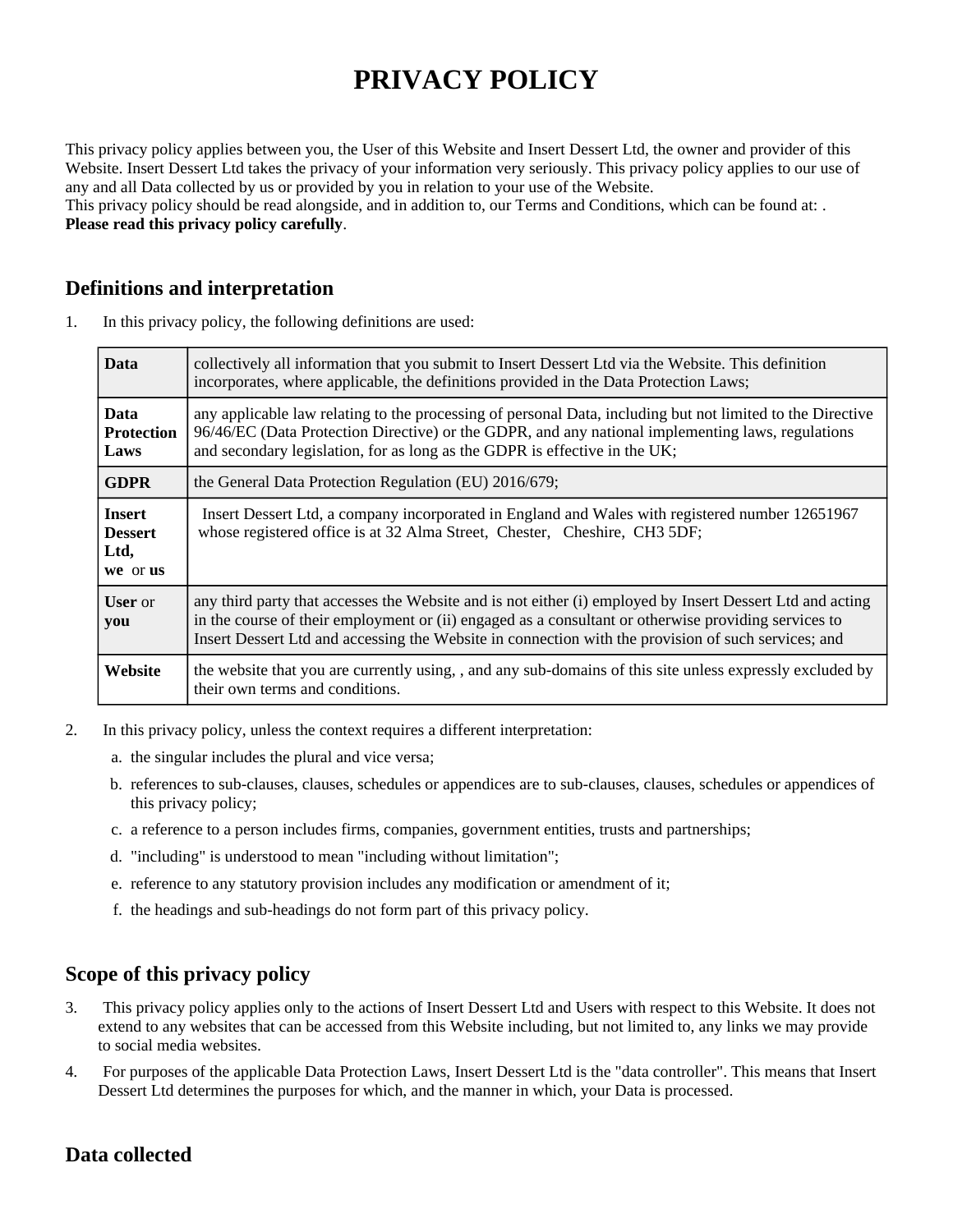# **PRIVACY POLICY**

This privacy policy applies between you, the User of this Website and Insert Dessert Ltd, the owner and provider of this Website. Insert Dessert Ltd takes the privacy of your information very seriously. This privacy policy applies to our use of any and all Data collected by us or provided by you in relation to your use of the Website.

This privacy policy should be read alongside, and in addition to, our Terms and Conditions, which can be found at: . **Please read this privacy policy carefully**.

## **Definitions and interpretation**

1. In this privacy policy, the following definitions are used:

| <b>Data</b>                                         | collectively all information that you submit to Insert Dessert Ltd via the Website. This definition<br>incorporates, where applicable, the definitions provided in the Data Protection Laws;                                                                                                                             |
|-----------------------------------------------------|--------------------------------------------------------------------------------------------------------------------------------------------------------------------------------------------------------------------------------------------------------------------------------------------------------------------------|
| <b>Data</b><br><b>Protection</b><br>Laws            | any applicable law relating to the processing of personal Data, including but not limited to the Directive<br>96/46/EC (Data Protection Directive) or the GDPR, and any national implementing laws, regulations<br>and secondary legislation, for as long as the GDPR is effective in the UK;                            |
| <b>GDPR</b>                                         | the General Data Protection Regulation (EU) 2016/679;                                                                                                                                                                                                                                                                    |
| <b>Insert</b><br><b>Dessert</b><br>Ltd,<br>we or us | Insert Dessert Ltd, a company incorporated in England and Wales with registered number 12651967<br>whose registered office is at 32 Alma Street, Chester, Cheshire, CH3 5DF;                                                                                                                                             |
| <b>User</b> or<br>you                               | any third party that accesses the Website and is not either (i) employed by Insert Dessert Ltd and acting<br>in the course of their employment or (ii) engaged as a consultant or otherwise providing services to<br>Insert Dessert Ltd and accessing the Website in connection with the provision of such services; and |
| Website                                             | the website that you are currently using, , and any sub-domains of this site unless expressly excluded by<br>their own terms and conditions.                                                                                                                                                                             |

- 2. In this privacy policy, unless the context requires a different interpretation:
	- a. the singular includes the plural and vice versa;
	- b. references to sub-clauses, clauses, schedules or appendices are to sub-clauses, clauses, schedules or appendices of this privacy policy;
	- c. a reference to a person includes firms, companies, government entities, trusts and partnerships;
	- d. "including" is understood to mean "including without limitation";
	- e. reference to any statutory provision includes any modification or amendment of it;
	- f. the headings and sub-headings do not form part of this privacy policy.

# **Scope of this privacy policy**

- 3. This privacy policy applies only to the actions of Insert Dessert Ltd and Users with respect to this Website. It does not extend to any websites that can be accessed from this Website including, but not limited to, any links we may provide to social media websites.
- 4. For purposes of the applicable Data Protection Laws, Insert Dessert Ltd is the "data controller". This means that Insert Dessert Ltd determines the purposes for which, and the manner in which, your Data is processed.

# **Data collected**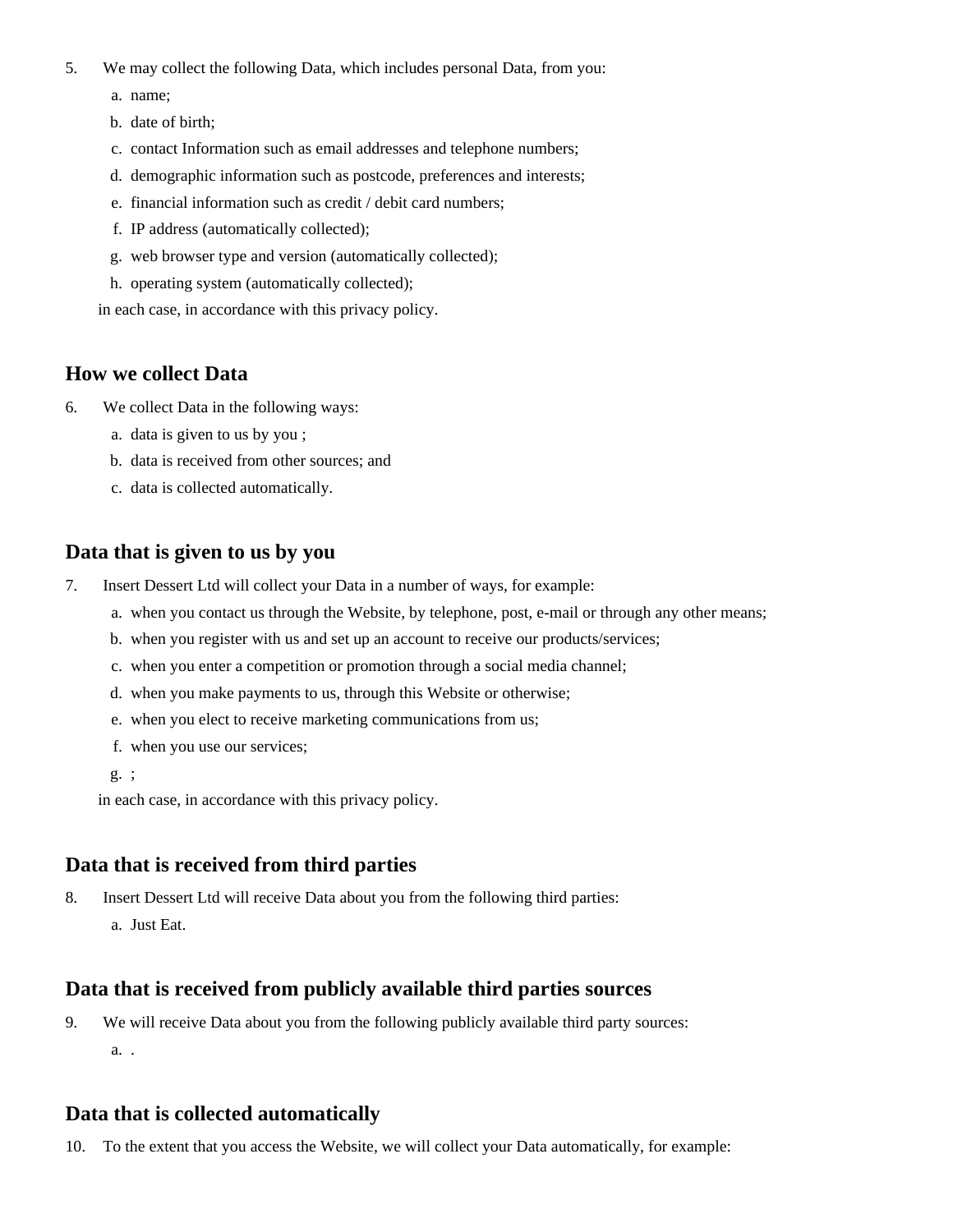- 5. We may collect the following Data, which includes personal Data, from you:
	- a. name;
	- b. date of birth;
	- c. contact Information such as email addresses and telephone numbers;
	- d. demographic information such as postcode, preferences and interests;
	- e. financial information such as credit / debit card numbers;
	- f. IP address (automatically collected);
	- g. web browser type and version (automatically collected);
	- h. operating system (automatically collected);

in each case, in accordance with this privacy policy.

#### **How we collect Data**

- 6. We collect Data in the following ways:
	- a. data is given to us by you ;
	- b. data is received from other sources; and
	- c. data is collected automatically.

#### **Data that is given to us by you**

- 7. Insert Dessert Ltd will collect your Data in a number of ways, for example:
	- a. when you contact us through the Website, by telephone, post, e-mail or through any other means;
	- b. when you register with us and set up an account to receive our products/services;
	- c. when you enter a competition or promotion through a social media channel;
	- d. when you make payments to us, through this Website or otherwise;
	- e. when you elect to receive marketing communications from us;
	- f. when you use our services;
	- g. ;

in each case, in accordance with this privacy policy.

#### **Data that is received from third parties**

- 8. Insert Dessert Ltd will receive Data about you from the following third parties:
	- a. Just Eat.

#### **Data that is received from publicly available third parties sources**

a. . 9. We will receive Data about you from the following publicly available third party sources:

#### **Data that is collected automatically**

10. To the extent that you access the Website, we will collect your Data automatically, for example: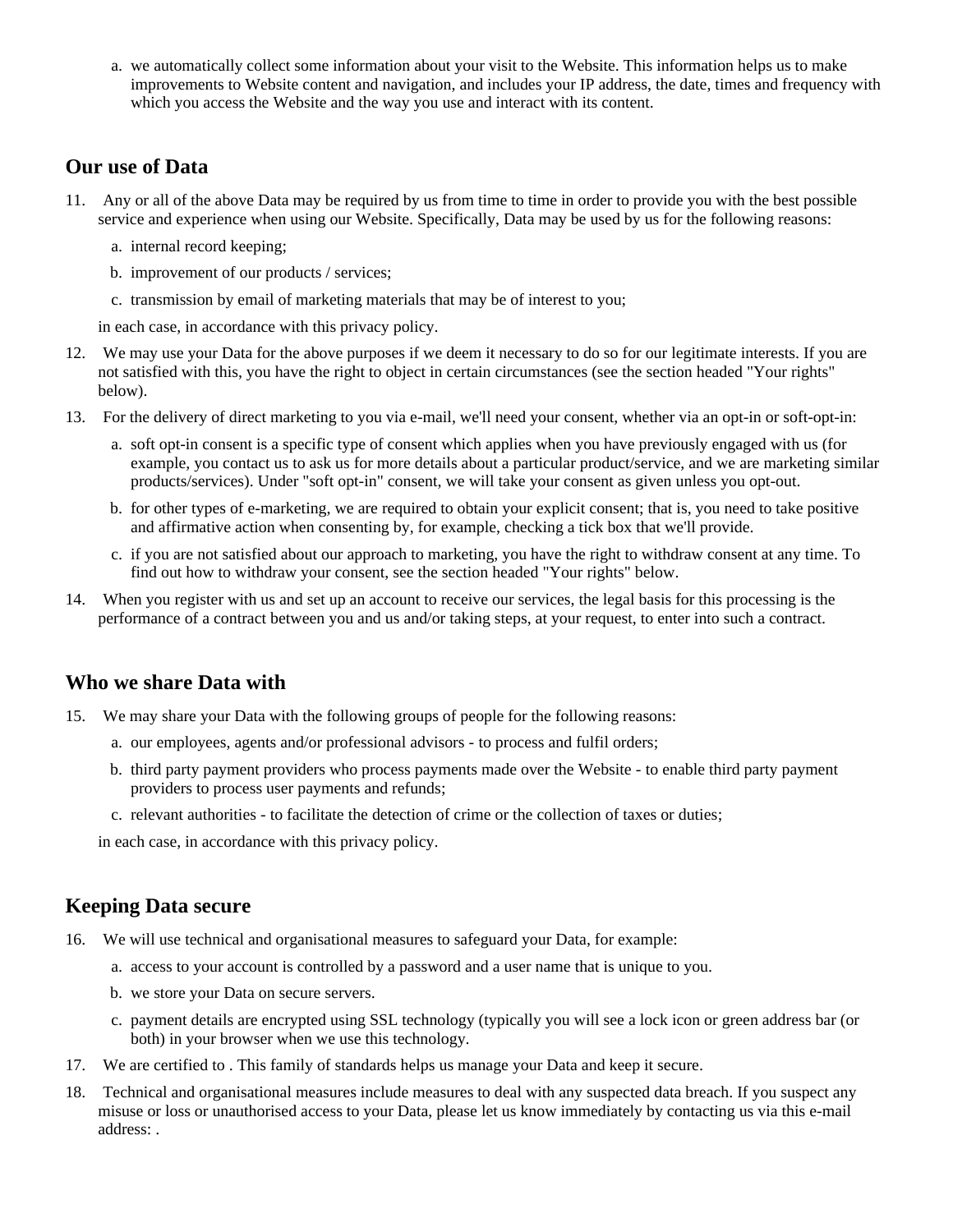a. we automatically collect some information about your visit to the Website. This information helps us to make improvements to Website content and navigation, and includes your IP address, the date, times and frequency with which you access the Website and the way you use and interact with its content.

### **Our use of Data**

- 11. Any or all of the above Data may be required by us from time to time in order to provide you with the best possible service and experience when using our Website. Specifically, Data may be used by us for the following reasons:
	- a. internal record keeping;
	- b. improvement of our products / services;
	- c. transmission by email of marketing materials that may be of interest to you;

in each case, in accordance with this privacy policy.

- 12. We may use your Data for the above purposes if we deem it necessary to do so for our legitimate interests. If you are not satisfied with this, you have the right to object in certain circumstances (see the section headed "Your rights" below).
- 13. For the delivery of direct marketing to you via e-mail, we'll need your consent, whether via an opt-in or soft-opt-in:
	- a. soft opt-in consent is a specific type of consent which applies when you have previously engaged with us (for example, you contact us to ask us for more details about a particular product/service, and we are marketing similar products/services). Under "soft opt-in" consent, we will take your consent as given unless you opt-out.
	- b. for other types of e-marketing, we are required to obtain your explicit consent; that is, you need to take positive and affirmative action when consenting by, for example, checking a tick box that we'll provide.
	- c. if you are not satisfied about our approach to marketing, you have the right to withdraw consent at any time. To find out how to withdraw your consent, see the section headed "Your rights" below.
- 14. When you register with us and set up an account to receive our services, the legal basis for this processing is the performance of a contract between you and us and/or taking steps, at your request, to enter into such a contract.

# **Who we share Data with**

- 15. We may share your Data with the following groups of people for the following reasons:
	- a. our employees, agents and/or professional advisors to process and fulfil orders;
	- b. third party payment providers who process payments made over the Website to enable third party payment providers to process user payments and refunds;
	- c. relevant authorities to facilitate the detection of crime or the collection of taxes or duties;

in each case, in accordance with this privacy policy.

# **Keeping Data secure**

- 16. We will use technical and organisational measures to safeguard your Data, for example:
	- a. access to your account is controlled by a password and a user name that is unique to you.
	- b. we store your Data on secure servers.
	- c. payment details are encrypted using SSL technology (typically you will see a lock icon or green address bar (or both) in your browser when we use this technology.
- 17. We are certified to . This family of standards helps us manage your Data and keep it secure.
- 18. Technical and organisational measures include measures to deal with any suspected data breach. If you suspect any misuse or loss or unauthorised access to your Data, please let us know immediately by contacting us via this e-mail address: .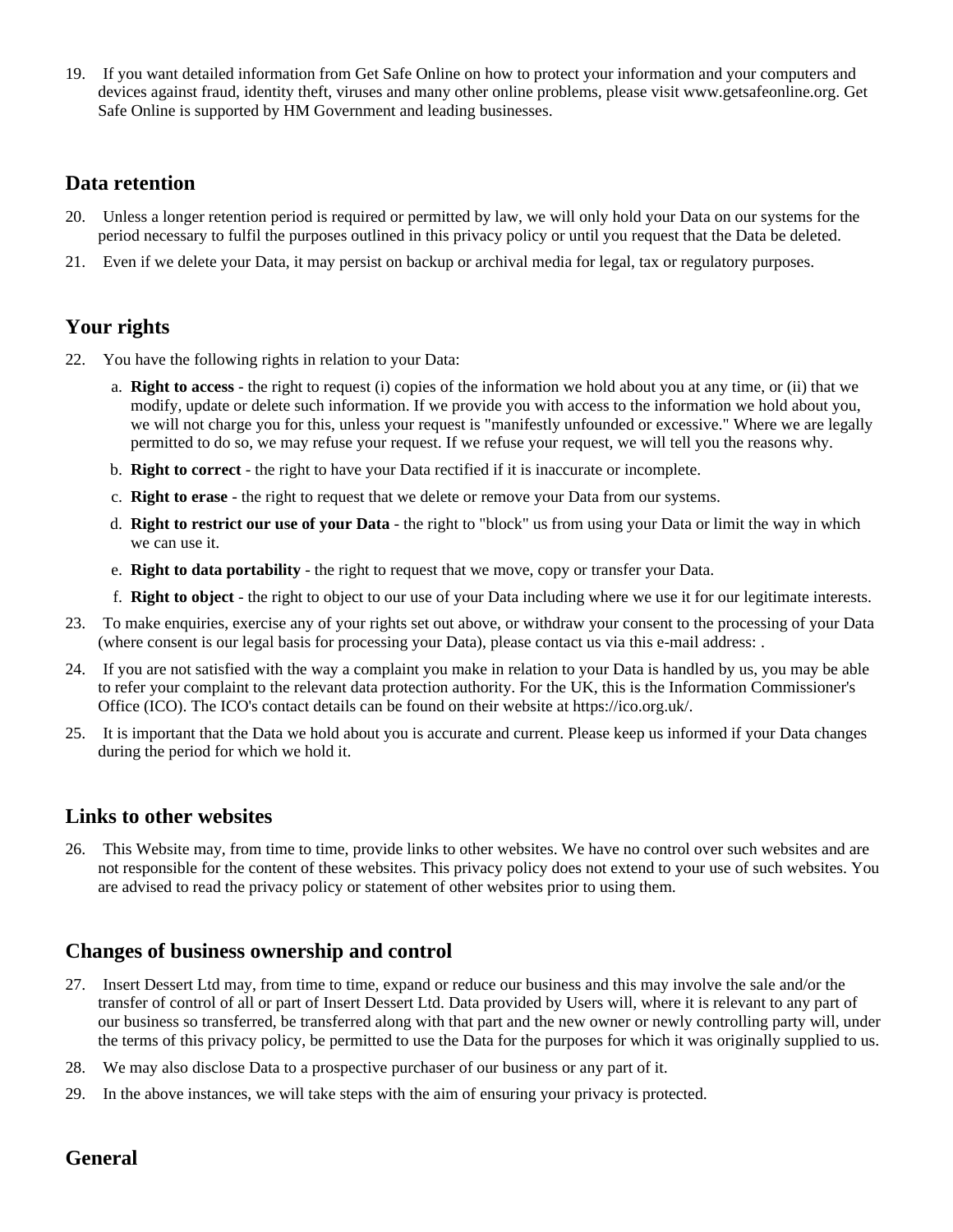19. If you want detailed information from Get Safe Online on how to protect your information and your computers and devices against fraud, identity theft, viruses and many other online problems, please visit www.getsafeonline.org. Get Safe Online is supported by HM Government and leading businesses.

### **Data retention**

- 20. Unless a longer retention period is required or permitted by law, we will only hold your Data on our systems for the period necessary to fulfil the purposes outlined in this privacy policy or until you request that the Data be deleted.
- 21. Even if we delete your Data, it may persist on backup or archival media for legal, tax or regulatory purposes.

## **Your rights**

- 22. You have the following rights in relation to your Data:
	- a. **Right to access** the right to request (i) copies of the information we hold about you at any time, or (ii) that we modify, update or delete such information. If we provide you with access to the information we hold about you, we will not charge you for this, unless your request is "manifestly unfounded or excessive." Where we are legally permitted to do so, we may refuse your request. If we refuse your request, we will tell you the reasons why.
	- b. **Right to correct** the right to have your Data rectified if it is inaccurate or incomplete.
	- c. **Right to erase** the right to request that we delete or remove your Data from our systems.
	- d. **Right to restrict our use of your Data** the right to "block" us from using your Data or limit the way in which we can use it.
	- e. **Right to data portability** the right to request that we move, copy or transfer your Data.
	- f. **Right to object** the right to object to our use of your Data including where we use it for our legitimate interests.
- 23. To make enquiries, exercise any of your rights set out above, or withdraw your consent to the processing of your Data (where consent is our legal basis for processing your Data), please contact us via this e-mail address: .
- 24. If you are not satisfied with the way a complaint you make in relation to your Data is handled by us, you may be able to refer your complaint to the relevant data protection authority. For the UK, this is the Information Commissioner's Office (ICO). The ICO's contact details can be found on their website at https://ico.org.uk/.
- 25. It is important that the Data we hold about you is accurate and current. Please keep us informed if your Data changes during the period for which we hold it.

#### **Links to other websites**

26. This Website may, from time to time, provide links to other websites. We have no control over such websites and are not responsible for the content of these websites. This privacy policy does not extend to your use of such websites. You are advised to read the privacy policy or statement of other websites prior to using them.

# **Changes of business ownership and control**

- 27. Insert Dessert Ltd may, from time to time, expand or reduce our business and this may involve the sale and/or the transfer of control of all or part of Insert Dessert Ltd. Data provided by Users will, where it is relevant to any part of our business so transferred, be transferred along with that part and the new owner or newly controlling party will, under the terms of this privacy policy, be permitted to use the Data for the purposes for which it was originally supplied to us.
- 28. We may also disclose Data to a prospective purchaser of our business or any part of it.
- 29. In the above instances, we will take steps with the aim of ensuring your privacy is protected.

# **General**